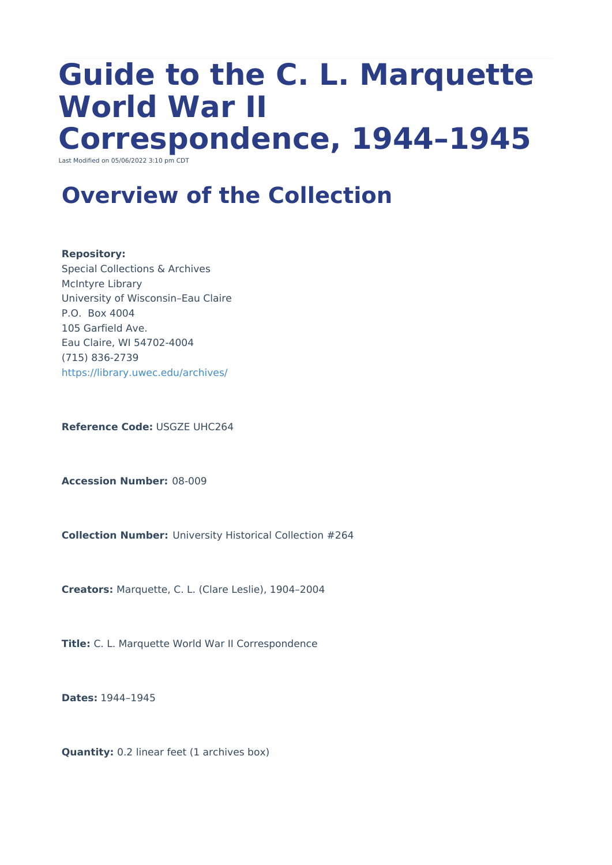# **Guide to the C. L. Marquette World War II Correspondence, 1944–1945**

Last Modified on 05/06/2022 3:10 pm CDT

# **Overview of the Collection**

#### **Repository:**

Special Collections & Archives McIntyre Library University of Wisconsin–Eau Claire P.O. Box 4004 105 Garfield Ave. Eau Claire, WI 54702-4004 (715) 836-2739 <https://library.uwec.edu/archives/>

**Reference Code:** USGZE UHC264

**Accession Number:** 08-009

**Collection Number:** University Historical Collection #264

**Creators:** Marquette, C. L. (Clare Leslie), 1904–2004

**Title:** C. L. Marquette World War II Correspondence

**Dates:** 1944–1945

**Quantity:** 0.2 linear feet (1 archives box)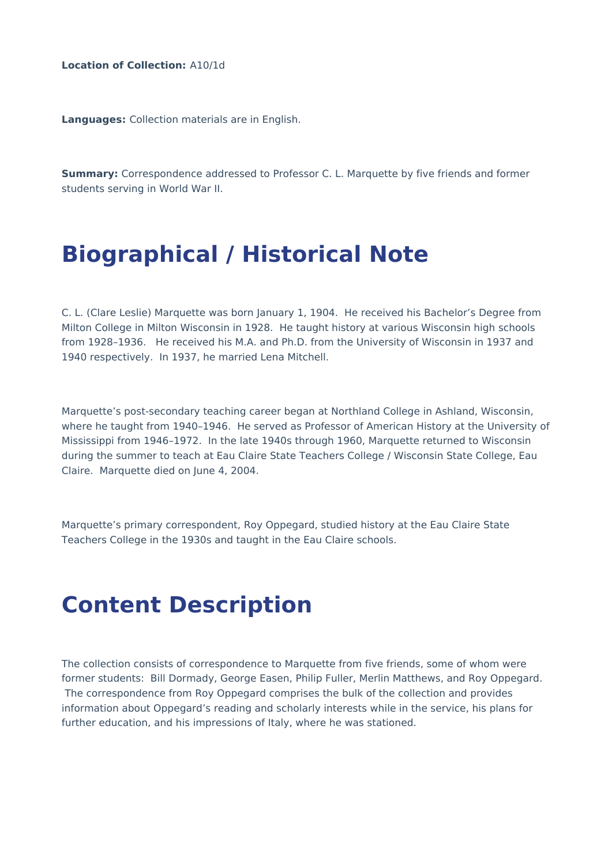**Location of Collection:** A10/1d

**Languages:** Collection materials are in English.

**Summary:** Correspondence addressed to Professor C. L. Marquette by five friends and former students serving in World War II.

### **Biographical / Historical Note**

C. L. (Clare Leslie) Marquette was born January 1, 1904. He received his Bachelor's Degree from Milton College in Milton Wisconsin in 1928. He taught history at various Wisconsin high schools from 1928–1936. He received his M.A. and Ph.D. from the University of Wisconsin in 1937 and 1940 respectively. In 1937, he married Lena Mitchell.

Marquette's post-secondary teaching career began at Northland College in Ashland, Wisconsin, where he taught from 1940–1946. He served as Professor of American History at the University of Mississippi from 1946–1972. In the late 1940s through 1960, Marquette returned to Wisconsin during the summer to teach at Eau Claire State Teachers College / Wisconsin State College, Eau Claire. Marquette died on June 4, 2004.

Marquette's primary correspondent, Roy Oppegard, studied history at the Eau Claire State Teachers College in the 1930s and taught in the Eau Claire schools.

#### **Content Description**

The collection consists of correspondence to Marquette from five friends, some of whom were former students: Bill Dormady, George Easen, Philip Fuller, Merlin Matthews, and Roy Oppegard. The correspondence from Roy Oppegard comprises the bulk of the collection and provides information about Oppegard's reading and scholarly interests while in the service, his plans for further education, and his impressions of Italy, where he was stationed.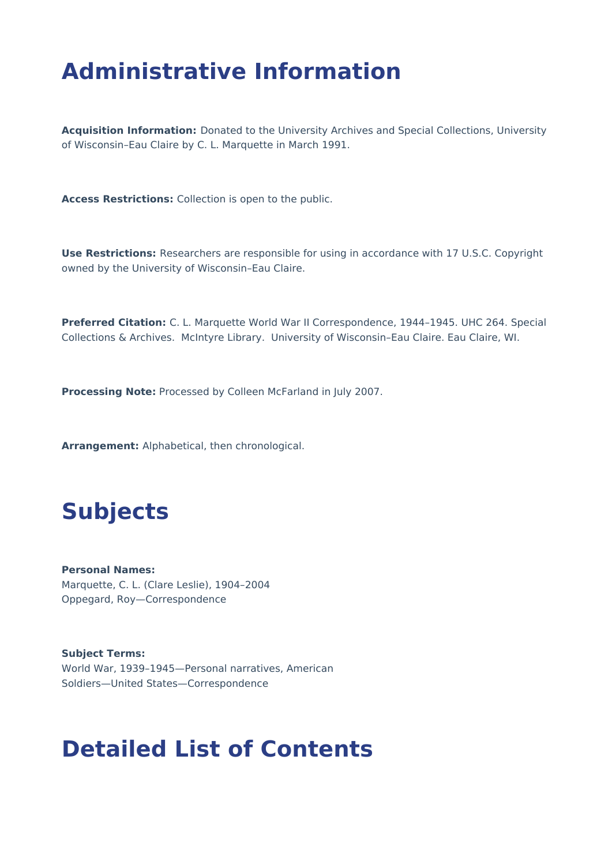# **Administrative Information**

**Acquisition Information:** Donated to the University Archives and Special Collections, University of Wisconsin–Eau Claire by C. L. Marquette in March 1991.

**Access Restrictions:** Collection is open to the public.

**Use Restrictions:** Researchers are responsible for using in accordance with 17 U.S.C. Copyright owned by the University of Wisconsin–Eau Claire.

**Preferred Citation:** C. L. Marquette World War II Correspondence, 1944–1945. UHC 264. Special Collections & Archives. McIntyre Library. University of Wisconsin–Eau Claire. Eau Claire, WI.

**Processing Note:** Processed by Colleen McFarland in July 2007.

**Arrangement:** Alphabetical, then chronological.

## **Subjects**

**Personal Names:** Marquette, C. L. (Clare Leslie), 1904–2004 Oppegard, Roy—Correspondence

**Subject Terms:** World War, 1939–1945—Personal narratives, American Soldiers—United States—Correspondence

#### **Detailed List of Contents**